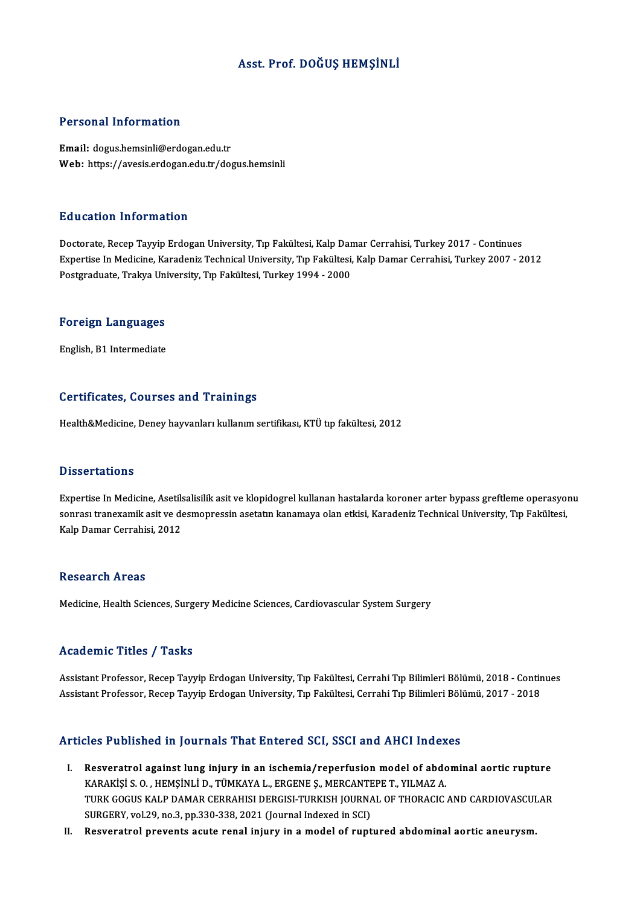### Asst. Prof. DOĞUŞ HEMŞİNLİ

### Personal Information

Email: dogus.hemsinli@erdogan.edu.tr Web: https://avesis.erdogan.edu.tr/dogus.hemsinli

### Education Information

Doctorate, Recep Tayyip Erdogan University, Tıp Fakültesi, Kalp Damar Cerrahisi, Turkey 2017 - Continues Expertise In Medicine, Karadeniz Technical University, Tıp Fakültesi, Kalp Damar Cerrahisi, Turkey 2007 - 2012 Postgraduate, Trakya University, Tıp Fakültesi, Turkey 1994 - 2000

# rosigraduate, frakya oni<br>**Foreign Languages** F<mark>oreign Languages</mark><br>English, B1 Intermediate

# English, B1 Intermediate<br>Certificates, Courses and Trainings

Health&Medicine, Deney hayvanları kullanım sertifikası, KTÜ tıp fakültesi, 2012

### **Dissertations**

Expertise In Medicine, Asetilsalisilik asit ve klopidogrel kullanan hastalarda koroner arter bypass greftleme operasyonu s issoor cacroms<br>Expertise In Medicine, Asetilsalisilik asit ve klopidogrel kullanan hastalarda koroner arter bypass greftleme operasyo:<br>Sonrası tranexamik asit ve desmopressin asetatın kanamaya olan etkisi, Karadeniz Tech Expertise In Medicine, Asetils<br>sonrası tranexamik asit ve de<br>Kalp Damar Cerrahisi, 2012 Kalp Damar Cerrahisi, 2012<br>Research Areas

Medicine, Health Sciences, Surgery Medicine Sciences, Cardiovascular System Surgery

### Academic Titles / Tasks

Academic Titles / Tasks<br>Assistant Professor, Recep Tayyip Erdogan University, Tıp Fakültesi, Cerrahi Tıp Bilimleri Bölümü, 2018 - Continues<br>Assistant Professor, Besen Tayyip Erdogan University, Tıp Fakültesi, Cerrahi Tıp B 110aa omno 11000 7<br>Assistant Professor, Recep Tayyip Erdogan University, Tıp Fakültesi, Cerrahi Tıp Bilimleri Bölümü, 2018 - Conti<br>Assistant Professor, Recep Tayyip Erdogan University, Tıp Fakültesi, Cerrahi Tıp Bilimleri Assistant Professor, Recep Tayyip Erdogan University, Tıp Fakültesi, Cerrahi Tıp Bilimleri Bölümü, 2017 - 2018<br>Articles Published in Journals That Entered SCI, SSCI and AHCI Indexes

- rticles Published in Journals That Entered SCI, SSCI and AHCI Indexes<br>I. Resveratrol against lung injury in an ischemia/reperfusion model of abdominal aortic rupture<br>KARAVISLS O. HEMSINLI D. TÜMKAVALL ERGENES, MERGANTERE T KES TUSHENEU IN JOUTHUS THUCH SHEETED SON UNU INTO INUES.<br>Resveratrol against lung injury in an ischemia/reperfusion model of abdic<br>KARAKİŞİ S. O. , HEMŞİNLİ D., TÜMKAYA L., ERGENE Ş., MERCANTEPE T., YILMAZ A.<br>TURK COCUS K Resveratrol against lung injury in an ischemia/reperfusion model of abdominal aortic rupture<br>KARAKİŞİ S. O. , HEMŞİNLİ D., TÜMKAYA L., ERGENE Ş., MERCANTEPE T., YILMAZ A.<br>TURK GOGUS KALP DAMAR CERRAHISI DERGISI-TURKISH JOU KARAKİŞİ S. O. , HEMŞİNLİ D., TÜMKAYA L., ERGENE Ş., MERCANTEPE T., YILMAZ A.<br>TURK GOGUS KALP DAMAR CERRAHISI DERGISI-TURKISH JOURNAL OF THORACIC AND CARDIOVASCULAR<br>SURGERY, vol.29, no.3, pp.330-338, 2021 (Journal Indexed
- II. Resveratrol prevents acute renal injury in a model of ruptured abdominal aortic aneurysm.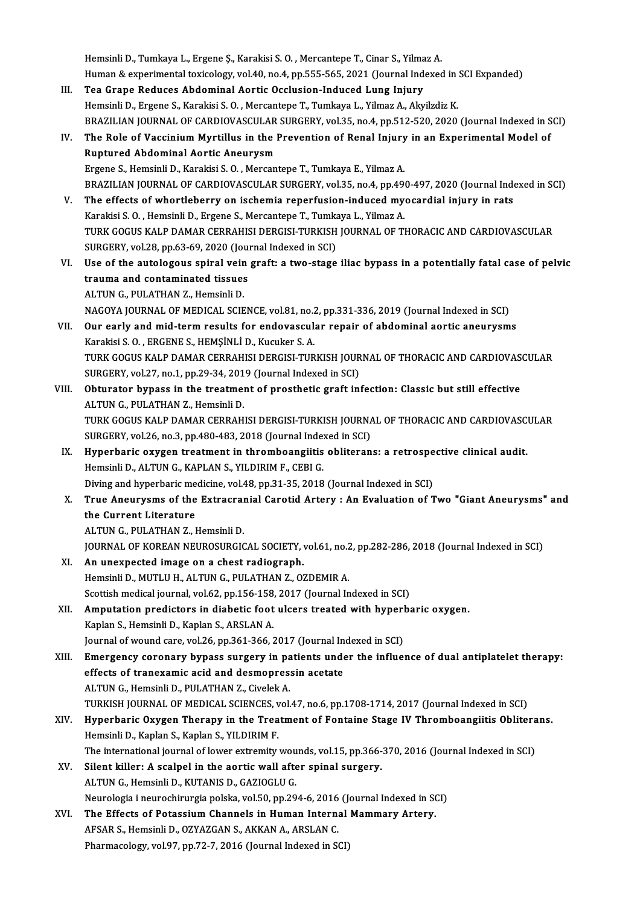Hemsinli D., Tumkaya L., Ergene Ş., Karakisi S. O. , Mercantepe T., Cinar S., Yilmaz A.<br>Human & evnerimental teviselegy, yel 40, ne 4, np EEE, EEE, 2021 (Jeurnal Indeves Hemsinli D., Tumkaya L., Ergene Ş., Karakisi S. O. , Mercantepe T., Cinar S., Yilmaz A.<br>Human & experimental toxicology, vol.40, no.4, pp.555-565, 2021 (Journal Indexed in SCI Expanded)<br>Tes Grane Beduses Abdominal Aertis Q Hemsinli D., Tumkaya L., Ergene Ș., Karakisi S. O., Mercantepe T., Cinar S., Yilma<br>Human & experimental toxicology, vol.40, no.4, pp.555-565, 2021 (Journal Ind<br>III. Tea Grape Reduces Abdominal Aortic Occlusion-Induced Lung

- Human & experimental toxicology, vol.40, no.4, pp.555-565, 2021 (Journal Indexed in The Grape Reduces Abdominal Aortic Occlusion-Induced Lung Injury<br>Hemsinli D., Ergene S., Karakisi S. O. , Mercantepe T., Tumkaya L., Yilma Tea Grape Reduces Abdominal Aortic Occlusion-Induced Lung Injury<br>Hemsinli D., Ergene S., Karakisi S. O. , Mercantepe T., Tumkaya L., Yilmaz A., Akyilzdiz K.<br>BRAZILIAN JOURNAL OF CARDIOVASCULAR SURGERY, vol.35, no.4, pp.512 Hemsinli D., Ergene S., Karakisi S. O. , Mercantepe T., Tumkaya L., Yilmaz A., Akyilzdiz K.<br>BRAZILIAN JOURNAL OF CARDIOVASCULAR SURGERY, vol.35, no.4, pp.512-520, 2020 (Journal Indexed in S<br>IV. The Role of Vaccinium Myrtil
- BRAZILIAN JOURNAL OF CARDIOVASCULAR<br>The Role of Vaccinium Myrtillus in the l<br>Ruptured Abdominal Aortic Aneurysm<br>Fraane S. Homsinli D. Karakisi S.O. Morson The Role of Vaccinium Myrtillus in the Prevention of Renal Injury<br>Ruptured Abdominal Aortic Aneurysm<br>Ergene S., Hemsinli D., Karakisi S. O. , Mercantepe T., Tumkaya E., Yilmaz A.<br>PRAZU JAN JOURNAL OF CARDJOVASCULAR SURCERY Ruptured Abdominal Aortic Aneurysm<br>Ergene S., Hemsinli D., Karakisi S. O. , Mercantepe T., Tumkaya E., Yilmaz A.<br>BRAZILIAN JOURNAL OF CARDIOVASCULAR SURGERY, vol.35, no.4, pp.490-497, 2020 (Journal Indexed in SCI) Ergene S., Hemsinli D., Karakisi S. O., Mercantepe T., Tumkaya E., Yilmaz A.<br>BRAZILIAN JOURNAL OF CARDIOVASCULAR SURGERY, vol.35, no.4, pp.490-497, 2020 (Journal Indu<br>V. The effects of whortleberry on ischemia reperfusion-
- BRAZILIAN JOURNAL OF CARDIOVASCULAR SURGERY, vol.35, no.4, pp.49<br>The effects of whortleberry on ischemia reperfusion-induced my<br>Karakisi S. O. , Hemsinli D., Ergene S., Mercantepe T., Tumkaya L., Yilmaz A.<br>TURK COCUS KALR TURK GOGUS KALP DAMAR CERRAHISI DERGISI-TURKISH JOURNAL OF THORACIC AND CARDIOVASCULAR<br>SURGERY, vol.28, pp.63-69, 2020 (Journal Indexed in SCI) Karakisi S. O., Hemsinli D., Ergene S., Mercantepe T., Tumkaya L., Yilmaz A. TURK GOGUS KALP DAMAR CERRAHISI DERGISI-TURKISH JOURNAL OF THORACIC AND CARDIOVASCULAR<br>SURGERY, vol.28, pp.63-69, 2020 (Journal Indexed in SCI)<br>VI. Use of the autologous spiral vein graft: a two-stage iliac bypass in a pot
- SURGERY, vol.28, pp.63-69, 2020 (Jou:<br>Use of the autologous spiral vein<br>trauma and contaminated tissues Use of the autologous spiral vein<br>trauma and contaminated tissues<br>ALTUN G., PULATHAN Z., Hemsinli D.<br>NACOVA JOUPNAL OF MEDICAL SCIE trauma and contaminated tissues<br>ALTUN G., PULATHAN Z., Hemsinli D.<br>NAGOYA JOURNAL OF MEDICAL SCIENCE, vol.81, no.2, pp.331-336, 2019 (Journal Indexed in SCI)<br>Our early and mid term results for andevessuler repair of abdomi

- ALTUN G., PULATHAN Z., Hemsinli D.<br>NAGOYA JOURNAL OF MEDICAL SCIENCE, vol.81, no.2, pp.331-336, 2019 (Journal Indexed in SCI)<br>VII. Our early and mid-term results for endovascular repair of abdominal aortic aneurysms<br>Karaki NAGOYA JOURNAL OF MEDICAL SCIENCE, vol.81, no.2<br>Our early and mid-term results for endovascul:<br>Karakisi S. O. , ERGENE S., HEMŞİNLİ D., Kucuker S. A.<br>TURK COCUS KALB DAMAR GERRAHISI DERÇISI TUR Our early and mid-term results for endovascular repair of abdominal aortic aneurysms<br>Karakisi S. O. , ERGENE S., HEMŞİNLİ D., Kucuker S. A.<br>TURK GOGUS KALP DAMAR CERRAHISI DERGISI-TURKISH JOURNAL OF THORACIC AND CARDIOVASC Karakisi S. O. , ERGENE S., HEMŞİNLİ D., Kucuker S. A.<br>TURK GOGUS KALP DAMAR CERRAHISI DERGISI-TURKISH JOUR<br>SURGERY, vol.27, no.1, pp.29-34, 2019 (Journal Indexed in SCI)<br>Obturator bunass in the treatment of presthetis sra TURK GOGUS KALP DAMAR CERRAHISI DERGISI-TURKISH JOURNAL OF THORACIC AND CARDIOVAS<br>SURGERY, vol.27, no.1, pp.29-34, 2019 (Journal Indexed in SCI)<br>VIII. Obturator bypass in the treatment of prosthetic graft infection: Classi
- SURGERY, vol.27, no.1, pp.29-34, 2019 (Journal Indexed in SCI)<br>Obturator bypass in the treatment of prosthetic graft infection: Classic but still effective<br>ALTUN G., PULATHAN Z., Hemsinli D. Obturator bypass in the treatment of prosthetic graft infection: Classic but still effective<br>ALTUN G., PULATHAN Z., Hemsinli D.<br>TURK GOGUS KALP DAMAR CERRAHISI DERGISI-TURKISH JOURNAL OF THORACIC AND CARDIOVASCULAR<br>SUBCERY ALTUN G., PULATHAN Z., Hemsinli D.<br>TURK GOGUS KALP DAMAR CERRAHISI DERGISI-TURKISH JOURNA<br>SURGERY, vol.26, no.3, pp.480-483, 2018 (Journal Indexed in SCI)<br>Hungsbaris ovugen treatment in thromboengijtis obliterar
- TURK GOGUS KALP DAMAR CERRAHISI DERGISI-TURKISH JOURNAL OF THORACIC AND CARDIOVASC<br>SURGERY, vol.26, no.3, pp.480-483, 2018 (Journal Indexed in SCI)<br>IX. Hyperbaric oxygen treatment in thromboangiitis obliterans: a retrospec SURGERY, vol.26, no.3, pp.480-483, 2018 (Journal Indexed in SCI)<br>Hyperbaric oxygen treatment in thromboangiitis obliterans: a retrospe<br>Hemsinli D., ALTUN G., KAPLAN S., YILDIRIM F., CEBI G.<br>Diving and hyperbaric medicine, IX. Hyperbaric oxygen treatment in thromboangiitis obliterans: a retrospective clinical audit. Hemsinli D., ALTUN G., KAPLAN S., YILDIRIM F., CEBI G.<br>Diving and hyperbaric medicine, vol.48, pp.31-35, 2018 (Journal Indexed in SCI)<br>X. True Aneurysms of the Extracranial Carotid Artery : An Evaluation of Two "Giant
- Diving and hyperbaric me<br>True Aneurysms of the<br>the Current Literature<br>ALTIN G. BULATHAN 7. I True Aneurysms of the Extracral<br>the Current Literature<br>ALTUN G., PULATHAN Z., Hemsinli D.<br>JOUPNAL OF KOPEAN NEUPOSUPCIC the Current Literature<br>ALTUN G., PULATHAN Z., Hemsinli D.<br>JOURNAL OF KOREAN NEUROSURGICAL SOCIETY, vol.61, no.2, pp.282-286, 2018 (Journal Indexed in SCI)<br>An unewnested image on a sheet radiosraph

- ALTUN G., PULATHAN Z., Hemsinli D.<br>JOURNAL OF KOREAN NEUROSURGICAL SOCIETY, vol.61, no.2<br>XI. An unexpected image on a chest radiograph.<br>Hemsinli D., MUTLU H., ALTUN G., PULATHAN Z., OZDEMIR A. JOURNAL OF KOREAN NEUROSURGICAL SOCIETY, vol.61, no.2<br>An unexpected image on a chest radiograph.<br>Hemsinli D., MUTLU H., ALTUN G., PULATHAN Z., OZDEMIR A.<br>Sestijsk medicel journal vol.62, np.156,159,2017 (Journal In An unexpected image on a chest radiograph.<br>Hemsinli D., MUTLU H., ALTUN G., PULATHAN Z., OZDEMIR A.<br>Scottish medical journal, vol.62, pp.156-158, 2017 (Journal Indexed in SCI)<br>Amputation prodictors in diabatis foot ulsers
- XII. Amputation predictors in diabetic foot ulcers treated with hyperbaric oxygen.<br>Kaplan S., Hemsinli D., Kaplan S., ARSLAN A. Scottish medical journal, vol.62, pp.156-158,<br>Amputation predictors in diabetic foot<br>Kaplan S., Hemsinli D., Kaplan S., ARSLAN A.<br>Journal of wound care, vol.26, np.361,366.6 Amputation predictors in diabetic foot ulcers treated with hyperl<br>Kaplan S., Hemsinli D., Kaplan S., ARSLAN A.<br>Journal of wound care, vol.26, pp.361-366, 2017 (Journal Indexed in SCI)<br>Emergency coronory bypace surgery in n

XIII. Emergency coronary bypass surgery in patients under the influence of dual antiplatelet therapy:<br>effects of tranexamic acid and desmopressin acetate Journal of wound care, vol.26, pp.361-366, 2017 (Journal In<br>Emergency coronary bypass surgery in patients under<br>effects of tranexamic acid and desmopressin acetate<br>ALTIN C. Homeinli D. PULATHAN Z. Gyrolok A ALTUNG., Hemsinli D., PULATHAN Z., Civelek A. effects of tranexamic acid and desmopressin acetate<br>ALTUN G., Hemsinli D., PULATHAN Z., Civelek A.<br>TURKISH JOURNAL OF MEDICAL SCIENCES, vol.47, no.6, pp.1708-1714, 2017 (Journal Indexed in SCI)<br>Hunorbaris Ouygen Thereny in ALTUN G., Hemsinli D., PULATHAN Z., Civelek A.<br>TURKISH JOURNAL OF MEDICAL SCIENCES, vol.47, no.6, pp.1708-1714, 2017 (Journal Indexed in SCI)<br>XIV. Hyperbaric Oxygen Therapy in the Treatment of Fontaine Stage IV Thromboangi

- TURKISH JOURNAL OF MEDICAL SCIENCES, v<br>Hyperbaric Oxygen Therapy in the Trea<br>Hemsinli D., Kaplan S., Kaplan S., YILDIRIM F.<br>The international journal of lower extremity. Hyperbaric Oxygen Therapy in the Treatment of Fontaine Stage IV Thromboangiitis Oblitera<br>Hemsinli D., Kaplan S., Kaplan S., YILDIRIM F.<br>The international journal of lower extremity wounds, vol.15, pp.366-370, 2016 (Journal Hemsinli D., Kaplan S., Kaplan S., YILDIRIM F.<br>The international journal of lower extremity wounds, vol.15, pp.366-370, 2016 (Journal Indexed in SCI)<br>XV. Silent killer: A scalpel in the aortic wall after spinal surgery.
- ALTUNG., Hemsinli D., KUTANIS D., GAZIOGLUG. Silent killer: A scalpel in the aortic wall after spinal surgery.<br>ALTUN G., Hemsinli D., KUTANIS D., GAZIOGLU G.<br>Neurologia i neurochirurgia polska, vol.50, pp.294-6, 2016 (Journal Indexed in SCI)<br>The Effects of Petassium ALTUN G., Hemsinli D., KUTANIS D., GAZIOGLU G.<br>Neurologia i neurochirurgia polska, vol.50, pp.294-6, 2016 (Journal Indexed in SONIC<br>XVI. The Effects of Potassium Channels in Human Internal Mammary Artery.
- Neurologia i neurochirurgia polska, vol.50, pp.294-6, 2016<br>The Effects of Potassium Channels in Human Interna<br>AFSAR S., Hemsinli D., OZYAZGAN S., AKKAN A., ARSLAN C.<br>Pharmagology vol.97, pp.72, 7, 2016 (Journal Indoved in The Effects of Potassium Channels in Human Internal Mammary Artery.<br>AFSAR S., Hemsinli D., OZYAZGAN S., AKKAN A., ARSLAN C.<br>Pharmacology, vol.97, pp.72-7, 2016 (Journal Indexed in SCI)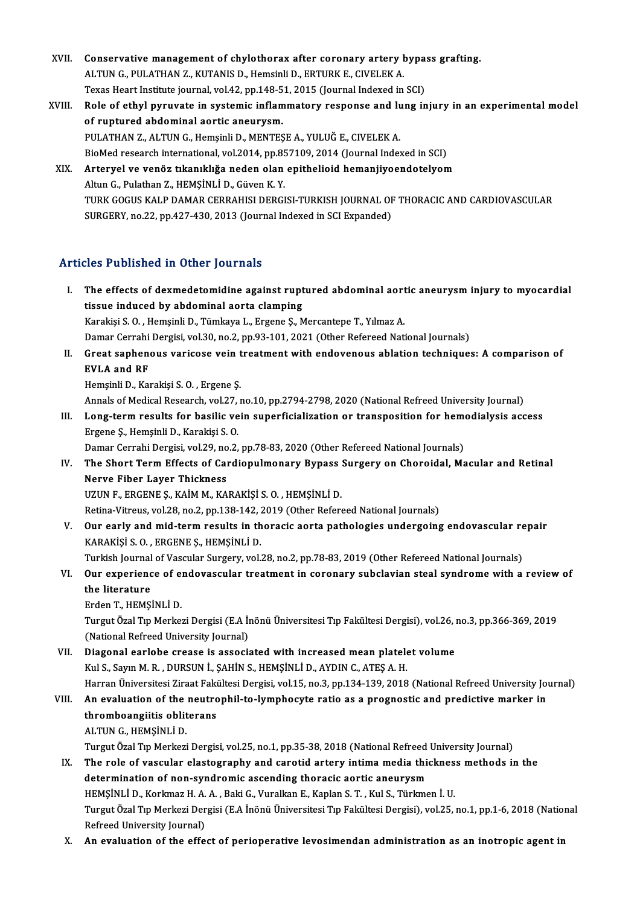- XVII. Conservative management of chylothorax after coronary artery bypass grafting.<br>ALTIN C. BULATHAN Z. KUTANS D. Homeinli D. ERTURK E. CIVELEK A Conservative management of chylothorax after coronary artery **l**<br>ALTUN G., PULATHAN Z., KUTANIS D., Hemsinli D., ERTURK E., CIVELEK A.<br>Taves Heart Institute journal vol.42, np.149.51, 2015 (Journal Indeved in Conservative management of chylothorax after coronary artery bypa:<br>ALTUN G., PULATHAN Z., KUTANIS D., Hemsinli D., ERTURK E., CIVELEK A.<br>Texas Heart Institute journal, vol.42, pp.148-51, 2015 (Journal Indexed in SCI)<br>Pole ALTUN G., PULATHAN Z., KUTANIS D., Hemsinli D., ERTURK E., CIVELEK A.<br>Texas Heart Institute journal, vol.42, pp.148-51, 2015 (Journal Indexed in SCI)<br>XVIII. Role of ethyl pyruvate in systemic inflammatory response and lung
- Texas Heart Institute journal, vol.42, pp.148-5<br>Role of ethyl pyruvate in systemic inflam<br>of ruptured abdominal aortic aneurysm.<br>PULATHAN 7, ALTUNG, Homeinli D. MENTES Role of ethyl pyruvate in systemic inflammatory response and lu<br>of ruptured abdominal aortic aneurysm.<br>PULATHAN Z., ALTUN G., Hemşinli D., MENTEŞE A., YULUĞ E., CIVELEK A.<br>PieMed researsh international vel 2014 np 957109-2 of ruptured abdominal aortic aneurysm.<br>PULATHAN Z., ALTUN G., Hemşinli D., MENTEŞE A., YULUĞ E., CIVELEK A.<br>BioMed research international, vol.2014, pp.857109, 2014 (Journal Indexed in SCI)<br>Artervel ve venöz tikanıklığa no PULATHAN Z., ALTUN G., Hemşinli D., MENTEŞE A., YULUĞ E., CIVELEK A.<br>BioMed research international, vol.2014, pp.857109, 2014 (Journal Indexed in SCI)<br>XIX. Arteryel ve venöz tıkanıklığa neden olan epithelioid hemanjiyo
- BioMed research international, vol.2014, pp.85<br>Arteryel ve venöz tıkanıklığa neden olan<br>Altun G., Pulathan Z., HEMŞİNLİ D., Güven K. Y.<br>TURK COCUS KALR DAMAR GERRAHISI DERCI Arteryel ve venöz tıkanıklığa neden olan epithelioid hemanjiyoendotelyom<br>Altun G., Pulathan Z., HEMŞİNLİ D., Güven K. Y.<br>TURK GOGUS KALP DAMAR CERRAHISI DERGISI-TURKISH JOURNAL OF THORACIC AND CARDIOVASCULAR<br>SURCERY no 22 Altun G., Pulathan Z., HEMŞİNLİ D., Güven K. Y.<br>TURK GOGUS KALP DAMAR CERRAHISI DERGISI-TURKISH JOURNAL OF<br>SURGERY, no.22, pp.427-430, 2013 (Journal Indexed in SCI Expanded) SURGERY, no.22, pp.427-430, 2013 (Journal Indexed in SCI Expanded)<br>Articles Published in Other Journals

- rticles Published in Other Journals<br>I. The effects of dexmedetomidine against ruptured abdominal aortic aneurysm injury to myocardial<br>tiggys indused by abdominal sorta clamping The effects of dexmedetomidine against rupt<br>tissue induced by abdominal aorta clamping<br>Karakisi S.O. Hemsinli D. Tümkaya L. Ergens S. M tissue induced by abdominal aorta clamping<br>Karakişi S. O. , Hemşinli D., Tümkaya L., Ergene Ş., Mercantepe T., Yılmaz A. Damar Cerrahi Dergisi, vol.30, no.2, pp.93-101, 2021 (Other Refereed National Journals) Karakişi S. O. , Hemşinli D., Tümkaya L., Ergene Ş., Mercantepe T., Yılmaz A.<br>Damar Cerrahi Dergisi, vol.30, no.2, pp.93-101, 2021 (Other Refereed National Journals)<br>II. Great saphenous varicose vein treatment with endoven Damar Cerrahi<br>Great saphen<br>EVLA and RF<br>Homeinli D. Kor Great saphenous varicose vein t<br>EVLA and RF<br>Hemşinli D., Karakişi S. O. , Ergene Ş.<br>Annak of Medical Besearsh vel 27 x EVLA and RF<br>Hemşinli D., Karakişi S. O. , Ergene Ş.<br>Annals of Medical Research, vol.27, no.10, pp.2794-2798, 2020 (National Refreed University Journal) Hemsinli D., Karakişi S. O. , Ergene Ş.<br>Annals of Medical Research, vol.27, no.10, pp.2794-2798, 2020 (National Refreed University Journal)<br>III. Long-term results for basilic vein superficialization or transposition for he Annals of Medical Research, vol.27,<br>**Long-term results for basilic ve**<br>Ergene Ş., Hemşinli D., Karakişi S. O.<br>Damar Carrabi Dargisi, vol.29, no.2 Long-term results for basilic vein superficialization or transposition for hemen<br>Ergene Ș., Hemșinli D., Karakişi S. O.<br>Damar Cerrahi Dergisi, vol.29, no.2, pp.78-83, 2020 (Other Refereed National Journals)<br>The Shert Term Ergene Ș., Hemșinli D., Karakiși S. O.<br>Damar Cerrahi Dergisi, vol.29, no.2, pp.78-83, 2020 (Other Refereed National Journals)<br>IV. The Short Term Effects of Cardiopulmonary Bypass Surgery on Choroidal, Macular and Retin Damar Cerrahi Dergisi, vol.29, no<br>The Short Term Effects of Cal<br>Nerve Fiber Layer Thickness<br>UZUNE ERCENES KAIMM KA The Short Term Effects of Cardiopulmonary Bypass :<br>Nerve Fiber Layer Thickness<br>UZUN F., ERGENE Ş., KAİM M., KARAKİŞİ S. O. , HEMŞİNLİ D.<br>Petina Vitrave val 28 na 2 nn 128 142 2019 (Othar Petarı Nerve Fiber Layer Thickness<br>UZUN F., ERGENE Ș., KAİM M., KARAKİŞİ S. O. , HEMŞİNLİ D.<br>Retina-Vitreus, vol.28, no.2, pp.138-142, 2019 (Other Refereed National Journals) UZUN F., ERGENE Ş., KAİM M., KARAKİŞİ S. O. , HEMŞİNLİ D.<br>Retina-Vitreus, vol.28, no.2, pp.138-142, 2019 (Other Refereed National Journals)<br>V. Our early and mid-term results in thoracic aorta pathologies undergoing end KARAKİŞİ S. O. , ERGENE Ş., HEMŞİNLİ D.<br>Turkish Journal of Vascular Surgery, vol.28, no.2, pp.78-83, 2019 (Other Refereed National Journals) Our early and mid-term results in thoracic aorta pathologies undergoing endovascular re<br>KARAKİŞİ S. O. , ERGENE Ş., HEMŞİNLİ D.<br>Turkish Journal of Vascular Surgery, vol.28, no.2, pp.78-83, 2019 (Other Refereed National Jou VI. Our experience of endovascular treatment in coronary subclavian steal syndrome with a reviewof the literature Erden T., HEMŞİNLİ D. the literature<br>Erden T., HEMŞİNLİ D.<br>Turgut Özal Tıp Merkezi Dergisi (E.A İnönü Üniversitesi Tıp Fakültesi Dergisi), vol.26, no.3, pp.366-369, 2019 Erden T., HEMŞİNLİ D.<br>Turgut Özal Tıp Merkezi Dergisi (E.A İı<br>(National Refreed University Journal)<br>Diagonal earlaba erease is associ (National Refreed University Journal)<br>VII. Diagonal earlobe crease is associated with increased mean platelet volume Kul S., Sayın M.R., DURSUN İ., ŞAHİN S., HEMŞİNLİ D., AYDIN C., ATEŞ A.H. Diagonal earlobe crease is associated with increased mean platelet volume<br>Kul S., Sayın M. R. , DURSUN İ., ŞAHİN S., HEMŞİNLİ D., AYDIN C., ATEŞ A. H.<br>Harran Üniversitesi Ziraat Fakültesi Dergisi, vol.15, no.3, pp.134-139,
	-
- Kul S., Sayın M. R. , DURSUN İ., ŞAHİN S., HEMŞİNLİ D., AYDIN C., ATEŞ A. H.<br>Harran Üniversitesi Ziraat Fakültesi Dergisi, vol.15, no.3, pp.134-139, 2018 (National Refreed University Jo<br>VIII. An evaluation of the neutrophi Harran Üniversitesi Ziraat Faki<br>An evaluation of the neutro<br>thromboangiitis obliterans<br>ALTIN C. HEMS<sup>iNI i</sup> D An evaluation of the<br>thromboangiitis oblit<br>ALTUN G., HEMŞİNLİ D.<br>Turgut Özel Tın Merkeri thromboangiitis obliterans<br>ALTUN G., HEMŞİNLİ D.<br>Turgut Özal Tıp Merkezi Dergisi, vol.25, no.1, pp.35-38, 2018 (National Refreed University Journal)<br>The role of vessular elestesranhy and sanatid artory intime modie thiskne
	-

- ALTUN G., HEMŞİNLİ D.<br>Turgut Özal Tıp Merkezi Dergisi, vol.25, no.1, pp.35-38, 2018 (National Refreed University Journal)<br>IX. The role of vascular elastography and carotid artery intima media thickness methods in the<br>deter Turgut Özal Tıp Merkezi Dergisi, vol.25, no.1, pp.35-38, 2018 (National Refreed<br>The role of vascular elastography and carotid artery intima media thio<br>determination of non-syndromic ascending thoracic aortic aneurysm<br>HEMSI The role of vascular elastography and carotid artery intima media thickness methods in the<br>determination of non-syndromic ascending thoracic aortic aneurysm<br>HEMŞİNLİ D., Korkmaz H. A. A. , Baki G., Vuralkan E., Kaplan S. T determination of non-syndromic ascending thoracic aortic aneurysm<br>HEMŞİNLİ D., Korkmaz H. A. A. , Baki G., Vuralkan E., Kaplan S. T. , Kul S., Türkmen İ. U.<br>Turgut Özal Tıp Merkezi Dergisi (E.A İnönü Üniversitesi Tıp Fakül HEMŞİNLİ D., Korkmaz H. A.<br>Turgut Özal Tıp Merkezi Der<br>Refreed University Journal)<br>An evaluation of the effe Turgut Özal Tıp Merkezi Dergisi (E.A İnönü Üniversitesi Tıp Fakültesi Dergisi), vol.25, no.1, pp.1-6, 2018 (Natio<br>Refreed University Journal)<br>X. An evaluation of the effect of perioperative levosimendan administration
-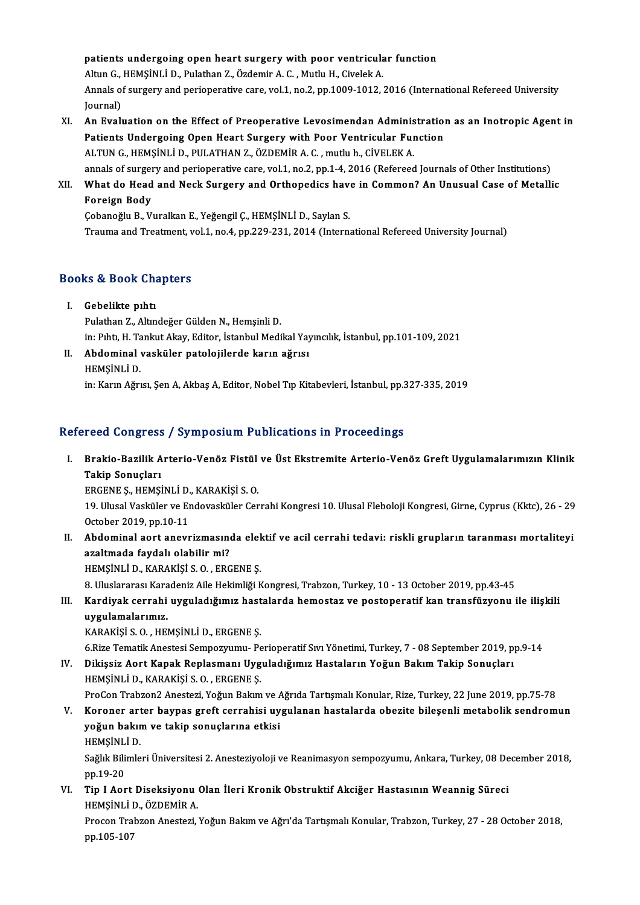patients undergoing open heart surgery with poor ventricular function patients undergoing open heart surgery with poor ventricula<br>Altun G., HEMŞİNLİ D., Pulathan Z., Özdemir A. C. , Mutlu H., Civelek A.<br>Annak of surgery and perioperative sare vel 1, no 2, nn 1999 1912. Annals of surgery and perioperative care, vol.1, no.2, pp.1009-1012, 2016 (International Refereed University Journal) Altun G.,<br>Annals o:<br>Journal)<br>An Eval Annals of surgery and perioperative care, vol.1, no.2, pp.1009-1012, 2016 (International Refereed University<br>Journal)<br>XI. An Evaluation on the Effect of Preoperative Levosimendan Administration as an Inotropic Agent in<br>Rat

- Journal)<br>An Evaluation on the Effect of Preoperative Levosimendan Administration<br>Patients Undergoing Open Heart Surgery with Poor Ventricular Function<br>ALTUNC HEMSINLID PULATHANZ ÖZDEMIR A.C. muth: b. CİVELEK A Patients Undergoing Open Heart Surgery with Poor Ventricular Function<br>ALTUN G., HEMŞİNLİ D., PULATHAN Z., ÖZDEMİR A. C., mutlu h., CİVELEK A. annals of surgery and perioperative care, vol.1, no.2, pp.1-4, 2016 (Refereed Journals of Other Institutions) ALTUN G., HEMSINLI D., PULATHAN Z., ÖZDEMIR A. C. , mutlu h., CIVELEK A.<br>annals of surgery and perioperative care, vol.1, no.2, pp.1-4, 2016 (Refereed Journals of Other Institutions)<br>XII. What do Head and Neck Surgery and
- annals of surger<br>What do Head<br>Foreign Body<br>Cobanoğlu B. Vi What do Head and Neck Surgery and Orthopedics have<br>Foreign Body<br>Çobanoğlu B., Vuralkan E., Yeğengil Ç., HEMŞİNLİ D., Saylan S.<br>Trauma and Trastment vol 1, no 4, nn 229, 221, 2014 (Interne

Foreign Body<br>Çobanoğlu B., Vuralkan E., Yeğengil Ç., HEMŞİNLİ D., Saylan S.<br>Trauma and Treatment, vol.1, no.4, pp.229-231, 2014 (International Refereed University Journal)

# rrauma and treatment, v<br>Books & Book Chapters

- ooks & Book Cha<br>I. Gebelikte pıhtı<br>Bulathan Z. Altın I. Gebelikte pıhtı<br>Pulathan Z., Altındeğer Gülden N., Hemşinli D. in:Pıhtı,H.TankutAkay,Editor, İstanbulMedikalYayıncılık, İstanbul,pp.101-109,2021
- Pulathan Z., Altındeğer Gülden N., Hemşinli D.<br>in: Pıhtı, H. Tankut Akay, Editor, İstanbul Medikal Yay<br>II. Abdominal vasküler patolojilerde karın ağrısı<br>urmsini i D. in: Pıhtı, H. Ta<br><mark>Abdominal</mark><br>HEMŞİNLİ D.<br>in: Karın Ağrı HEMŞİNLİ D.<br>in: Karın Ağrısı, Şen A, Akbaş A, Editor, Nobel Tıp Kitabevleri, İstanbul, pp.327-335, 2019

### Refereed Congress / Symposium Publications in Proceedings

efereed Congress / Symposium Publications in Proceedings<br>I. Brakio-Bazilik Arterio-Venöz Fistül ve Üst Ekstremite Arterio-Venöz Greft Uygulamalarımızın Klinik<br>Tekin Sanusları Teca Songi öss<br>Brakio-Bazilik A<br>Takip Sonuçları<br>EDCENE S. HEMSİ Brakio-Bazilik Arterio-Venöz Fistül<br>Takip Sonuçları<br>ERGENE Ş., HEMŞİNLİ D., KARAKİŞİ S. O.<br>10. Ulucal Vesküler ve Endovesküler Cer

ERGENE S., HEMSINLI D., KARAKISI S. O.

Takip Sonuçları<br>ERGENE Ş., HEMŞİNLİ D., KARAKİŞİ S. O.<br>19. Ulusal Vasküler ve Endovasküler Cerrahi Kongresi 10. Ulusal Fleboloji Kongresi, Girne, Cyprus (Kktc), 26 - 29<br>October 2019, pp.10-11 19. Ulusal Vasküler ve Endovasküler Cerrahi Kongresi 10. Ulusal Fleboloji Kongresi, Girne, Cyprus (Kktc), 26 - 29<br>October 2019, pp.10-11<br>II. Abdominal aort anevrizmasında elektif ve acil cerrahi tedavi: riskli grupların ta

October 2019, pp.10-11<br>Abdominal aort anevrizmasını<br>azaltmada faydalı olabilir mi?<br>HEMSİNLİ D. KARAKİSİ S.O., ERC Abdominal aort anevrizmasında elek<br>azaltmada faydalı olabilir mi?<br>HEMŞİNLİ D., KARAKİŞİ S.O. , ERGENE Ş.<br>8. Uluslaranası Karadaniz Aile Heltimliği v azaltmada faydalı olabilir mi?<br>19. HEMŞİNLİ D., KARAKİŞİ S. O. , ERGENE Ş.<br>8. Uluslararası Karadeniz Aile Hekimliği Kongresi, Trabzon, Turkey, 10 - 13 October 2019, pp.43-45

HEMŞİNLİ D., KARAKİŞİ S. O. , ERGENE Ş.<br>8. Uluslararası Karadeniz Aile Hekimliği Kongresi, Trabzon, Turkey, 10 - 13 October 2019, pp.43-45<br>111. Kardiyak cerrahi uyguladığımız hastalarda hemostaz ve postoperatif kan tra 8. Uluslararası Kara<br><mark>Kardiyak cerrahi</mark><br>uygulamalarımız.<br>KARAKİSİS O. HEL Kardiyak cerrahi uyguladığımız hast<br>uygulamalarımız.<br>KARAKİŞİ S. O. , HEMŞİNLİ D., ERGENE Ş.<br>6 Pize Tematik Anestesi Semnezuumu, Be <mark>uygulamalarımız.</mark><br>KARAKİŞİ S. O. , HEMŞİNLİ D., ERGENE Ş.<br>6.Rize Tematik Anestesi Sempozyumu- Perioperatif Sıvı Yönetimi, Turkey, 7 - 08 September 2019, pp.9-14

KARAKİŞİ S. O. , HEMŞİNLİ D., ERGENE Ş.<br>6.Rize Tematik Anestesi Sempozyumu- Perioperatif Sıvı Yönetimi, Turkey, 7 - 08 September 2019, p<br>IV. Dikişsiz Aort Kapak Replasmanı Uyguladığımız Hastaların Yoğun Bakım Takip Son 6.Rize Tematik Anestesi Sempozyumu- Pe<br>Dikişsiz Aort Kapak Replasmanı Uyg<br>HEMŞİNLİ D., KARAKİŞİ S. O. , ERGENE Ş.<br>PreCen Trabren? Anesteri Yeğun Balam HEMŞİNLİ D., KARAKİŞİ S. O. , ERGENE Ş.<br>ProCon Trabzon2 Anestezi, Yoğun Bakım ve Ağrıda Tartışmalı Konular, Rize, Turkey, 22 June 2019, pp.75-78

HEMŞİNLİ D., KARAKİŞİ S. O. , ERGENE Ş.<br>ProCon Trabzon2 Anestezi, Yoğun Bakım ve Ağrıda Tartışmalı Konular, Rize, Turkey, 22 June 2019, pp.75-78<br>V. Koroner arter baypas greft cerrahisi uygulanan hastalarda obezite bile ProCon Trabzon2 Anestezi, Yoğun Bakım ve *k*<br>Koroner arter baypas greft cerrahisi uy<br>yoğun bakım ve takip sonuçlarına etkisi<br>HEMSİNI İ.D Koroner art<br>yoğun bakır<br>HEMŞİNLİ D.<br>Seğlir Bilimle yoğun bakım ve takip sonuçlarına etkisi<br>HEMŞİNLİ D.<br>Sağlık Bilimleri Üniversitesi 2. Anesteziyoloji ve Reanimasyon sempozyumu, Ankara, Turkey, 08 December 2018,

HEMŞİNL<br>Sağlık Bili<br>pp.19-20<br>Tin J Aor Sağlık Bilimleri Üniversitesi 2. Anesteziyoloji ve Reanimasyon sempozyumu, Ankara, Turkey, 08 De<br>pp.19-20<br>VI. Tip I Aort Diseksiyonu Olan İleri Kronik Obstruktif Akciğer Hastasının Weannig Süreci

pp.19-20<br>VI. Tip I Aort Diseksiyonu Olan İleri Kronik Obstruktif Akciğer Hastasının Weannig Süreci HEMSINLI D., ÖZDEMIR A.

Procon Trabzon Anestezi, Yoğun Bakım ve Ağrı'da Tartışmalı Konular, Trabzon, Turkey, 27 - 28 October 2018, pp.105-107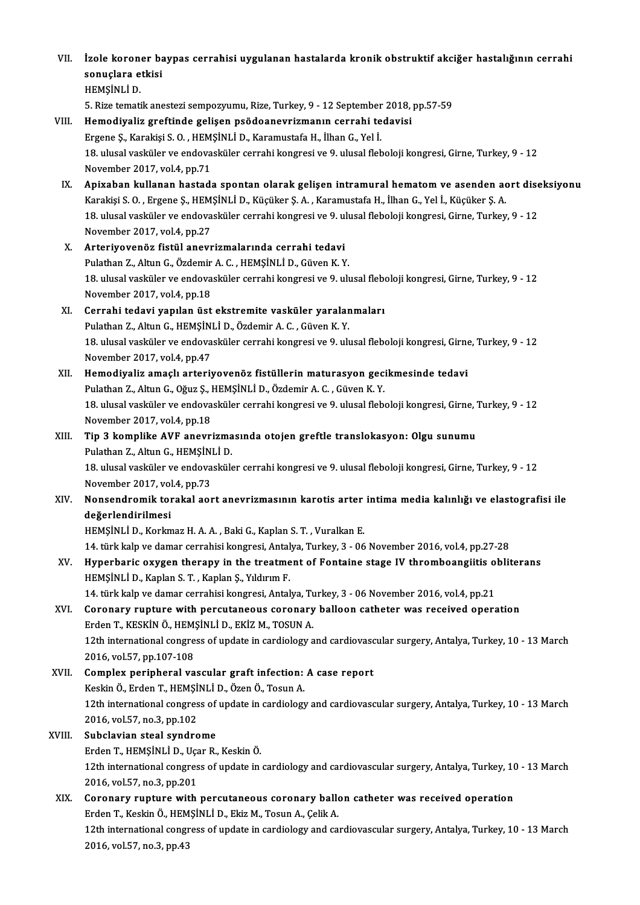VII. İzole koroner baypas cerrahisi uygulanan hastalarda kronik obstruktif akciğer hastalığının cerrahi<br>Senyelere etkiçi İzole koroner ba<br>sonuçlara etkisi<br>HEMSİNLİ D sonuçlara etkisi<br>HEMSİNLİ D. sonuçlara etkisi<br>HEMŞİNLİ D.<br>5. Rize tematik anestezi sempozyumu, Rize, Turkey, 9 - 12 September 2018, pp.57-59<br>Hamediyaliz spettinda selisan neğdeaneyyiymanın sanyabi tadevisi VIII. Hemodiyaliz greftinde gelişen psödoanevrizmanın cerrahi tedavisi<br>Ergene Ş., Karakişi S. O., HEMŞİNLİ D., Karamustafa H., İlhan G., Yel İ. 5. Rize tematik anestezi sempozyumu, Rize, Turkey, 9 - 12 September<br>Hemodiyaliz greftinde gelişen psödoanevrizmanın cerrahi te<br>Ergene Ş., Karakişi S. O. , HEMŞİNLİ D., Karamustafa H., İlhan G., Yel İ.<br>19. ulusal vasküler v Hemodiyaliz greftinde gelişen psödoanevrizmanın cerrahi tedavisi<br>Ergene Ş., Karakişi S. O. , HEMŞİNLİ D., Karamustafa H., İlhan G., Yel İ.<br>18. ulusal vasküler ve endovasküler cerrahi kongresi ve 9. ulusal fleboloji kongres Ergene Ș., Karakiși S. O. , HEM<br>18. ulusal vasküler ve endova<br>November 2017, vol.4, pp.71<br>Anivaban kullanan hastad November 2017, vol.4, pp.71<br>IX. Apixaban kullanan hastada spontan olarak gelişen intramural hematom ve asenden aort diseksiyonu

- November 2017, vol.4, pp.71<br><mark>Apixaban kullanan hastada spontan olarak gelişen intramural hematom ve asenden ac</mark><br>Karakişi S. O. , Ergene Ş., HEMŞİNLİ D., Küçüker Ş. A. , Karamustafa H., İlhan G., Yel İ., Küçüker Ş. A.<br>18. u Apixaban kullanan hastada spontan olarak gelişen intramural hematom ve asenden aort dise<br>Karakişi S. O. , Ergene Ş., HEMŞİNLİ D., Küçüker Ş. A. , Karamustafa H., İlhan G., Yel İ., Küçüker Ş. A.<br>18. ulusal vasküler ve endov Karakişi S. O. , Ergene Ş., HEM<br>18. ulusal vasküler ve endova<br>November 2017, vol.4, pp.27<br>Arterivovanër, fistël anovr 18. ulusal vasküler ve endovasküler cerrahi kongresi ve 9. u.<br>November 2017, vol.4, pp.27<br>X. Arteriyovenöz fistül anevrizmalarında cerrahi tedavi<br>Pulsthan 7. Altun G. Özdemir A. G. HEMSİNLİ D. Güyen K. V
- November 2017, vol.4, pp.27<br><mark>Arteriyovenöz fistül anevrizmalarında cerrahi tedavi</mark><br>Pulathan Z., Altun G., Özdemir A. C. , HEMŞİNLİ D., Güven K. Y.<br>18. ulugal vaskülar ve andavaşkülar sarrabi kangresi ve 9. ulı 18. X. Arteriyovenöz fistül anevrizmalarında cerrahi tedavi<br>Pulathan Z., Altun G., Özdemir A. C. , HEMŞİNLİ D., Güven K. Y.<br>18. ulusal vasküler ve endovasküler cerrahi kongresi ve 9. ulusal fleboloji kongresi, Girne, Turke Pulathan Z., Altun G., Özdemir<br>18. ulusal vasküler ve endova<br>November 2017, vol.4, pp.18<br>Correbi tedevi venlen üst 18. ulusal vasküler ve endovasküler cerrahi kongresi ve 9. ulusal flebondidation in November 2017, vol. 4, pp. 18<br>XI. Cerrahi tedavi yapılan üst ekstremite vasküler yaralanmaları<br>Rulathan Z. Altun G. HEMSİNLİ D. Özdemin A.

## November 2017, vol.4, pp.18<br>Cerrahi tedavi yapılan üst ekstremite vasküler yaralar<br>Pulathan Z., Altun G., HEMŞİNLİ D., Özdemir A. C. , Güven K. Y.<br>18. ulugal vasküler ve andavasküler sarrabi kangresi ve 9. ulı Pulathan Z., Altun G., HEMŞİNLİ D., Özdemir A. C. , Güven K. Y.<br>18. ulusal vasküler ve endovasküler cerrahi kongresi ve 9. ulusal fleboloji kongresi, Girne, Turkey, 9 - 12 November 2017, vol.4, pp.47 18. ulusal vasküler ve endovasküler cerrahi kongresi ve 9. ulusal fleboloji kongresi, Girne<br>November 2017, vol.4, pp.47<br>XII. Hemodiyaliz amaçlı arteriyovenöz fistüllerin maturasyon gecikmesinde tedavi<br>Pulathan 7. Altun

## November 2017, vol.4, pp.47<br>Hemodiyaliz amaçlı arteriyovenöz fistüllerin maturasyon geci<br>Pulathan Z., Altun G., Oğuz Ş., HEMŞİNLİ D., Özdemir A. C. , Güven K. Y.<br>18. ulusal yasküler ve andoyasküler serrebi kongresi ve 9. u Hemodiyaliz amaçlı arteriyovenöz fistüllerin maturasyon gecikmesinde tedavi<br>Pulathan Z., Altun G., Oğuz Ş., HEMŞİNLİ D., Özdemir A. C. , Güven K. Y.<br>18. ulusal vasküler ve endovasküler cerrahi kongresi ve 9. ulusal flebolo

Pulathan Z., Altun G., Oğuz Ş., l<br>18. ulusal vasküler ve endova<br>November 2017, vol.4, pp.18<br>Tin 3. komnlike AVE anevri 18. ulusal vasküler ve endovasküler cerrahi kongresi ve 9. ulusal fleboloji kongresi, Girne, '<br>November 2017, vol.4, pp.18<br>XIII. Tip 3 komplike AVF anevrizmasında otojen greftle translokasyon: Olgu sunumu<br>Pulathan 7. A

November 2017, vol.4, pp.18<br>Tip 3 komplike AVF anevrizma<br>Pulathan Z., Altun G., HEMŞİNLİ D.<br>18 ulucal vesküler ve andevesküle 18. XIII. Tip 3 komplike AVF anevrizmasında otojen greftle translokasyon: Olgu sunumu<br>Pulathan Z., Altun G., HEMŞİNLİ D.<br>18. ulusal vasküler ve endovasküler cerrahi kongresi ve 9. ulusal fleboloji kongresi, Girne, Turkey,

Pulathan Z., Altun G., HEMŞİN<br>18. ulusal vasküler ve endova<br>November 2017, vol.4, pp.73<br>Nonsandramik tarakal aqt 18. ulusal vasküler ve endovasküler cerrahi kongresi ve 9. ulusal fleboloji kongresi, Girne, Turkey, 9 - 12<br>November 2017, vol.4, pp.73<br>XIV. Nonsendromik torakal aort anevrizmasının karotis arter intima media kalınlığı

## November 2017, vol<br><mark>Nonsendromik tor</mark><br>değerlendirilmesi<br>HEMSİNI İ.D. *Vo*rlm Nonsendromik torakal aort anevrizmasının karotis arter<br>değerlendirilmesi<br>HEMŞİNLİ D., Korkmaz H. A. A. , Baki G., Kaplan S. T. , Vuralkan E.<br>14. türk kalı ve damar sarrabisi kanaresi, Antalya Turkay, 2., 06 değerlendirilmesi<br>HEMŞİNLİ D., Korkmaz H. A. A. , Baki G., Kaplan S. T. , Vuralkan E.<br>14. türk kalp ve damar cerrahisi kongresi, Antalya, Turkey, 3 - 06 November 2016, vol.4, pp.27-28<br>Hunorhanis evygen therany in the treat

## HEMŞİNLİ D., Korkmaz H. A. A. , Baki G., Kaplan S. T. , Vuralkan E.<br>14. türk kalp ve damar cerrahisi kongresi, Antalya, Turkey, 3 - 06 November 2016, vol.4, pp.27-28<br>XV. Hyperbaric oxygen therapy in the treatment of Fo 14. türk kalp ve damar cerrahisi kongresi, Antal<br>Hyperbaric oxygen therapy in the treatme<br>HEMŞİNLİ D., Kaplan S. T. , Kaplan Ş., Yıldırım F.<br>14. türk kalp ve damar sarrabisi kongresi, Antal Hyperbaric oxygen therapy in the treatment of Fontaine stage IV thromboangiitis of<br>HEMŞİNLİ D., Kaplan S. T. , Kaplan Ş., Yıldırım F.<br>14. türk kalp ve damar cerrahisi kongresi, Antalya, Turkey, 3 - 06 November 2016, vol.4,

14. türk kalp ve damar cerrahisi kongresi, Antalya, Turkey, 3 - 06 November 2016, vol.4, pp.21

## HEMŞİNLİ D., Kaplan S. T. , Kaplan Ş., Yıldırım F.<br>14. türk kalp ve damar cerrahisi kongresi, Antalya, Turkey, 3 - 06 November 2016, vol.4, pp.21<br>XVI. Coronary rupture with percutaneous coronary balloon catheter was re Coronary rupture with percutaneous coronary balloon catheter was received operation<br>Erden T., KESKİN Ö., HEMŞİNLİ D., EKİZ M., TOSUN A.<br>12th international congress of update in cardiology and cardiovascular surgery, Antaly Erden T., KESKİN Ö., HEM:<br>12th international congre<br>2016, vol.57, pp.107-108<br>Complex peripheral va

2016, vol.57, pp.107-108<br>XVII. Complex peripheral vascular graft infection: A case report 2016, vol.57, pp.107-108<br>Complex peripheral vascular graft infection:<br>Keskin Ö., Erden T., HEMŞİNLİ D., Özen Ö., Tosun A.<br>12th international congress of undate in sardialegu 12th international congress of update in cardiology and cardiovascular surgery, Antalya, Turkey, 10 - 13 March<br>2016, vol.57, no.3, pp.102 Keskin Ö., Erden T., HEMŞİ<br>12th international congres<br>2016, vol.57, no.3, pp.102<br>Subelevian steal sundre

## XVIII. Subclavian steal syndrome 2016, vol.57, no.3, pp.102<br>Subclavian steal syndrome<br>Erden T., HEMŞİNLİ D., Uçar R., Keskin Ö.<br>12th international sengress of undate in 12th international congress of update in cardiology and cardiovascular surgery, Antalya, Turkey, 10 - 13 March<br>2016, vol.57, no.3, pp.201 Erden T., HEMȘİNLİ D., Uça<br>12th international congres<br>2016, vol.57, no.3, pp.201 12th international congress of update in cardiology and cardiovascular surgery, Antalya, Turkey, 10<br>2016, vol.57, no.3, pp.201<br>XIX. Coronary rupture with percutaneous coronary ballon catheter was received operation<br>Endep T

2016, vol.57, no.3, pp.201<br>Coronary rupture with percutaneous coronary ballo<br>Erden T., Keskin Ö., HEMŞİNLİ D., Ekiz M., Tosun A., Çelik A.<br>12th international sengress of undate in sardialagu and sa Erden T., Keskin Ö., HEMŞİNLİ D., Ekiz M., Tosun A., Çelik A.<br>12th international congress of update in cardiology and cardiovascular surgery, Antalya, Turkey, 10 - 13 March 2016,vol.57,no.3,pp.43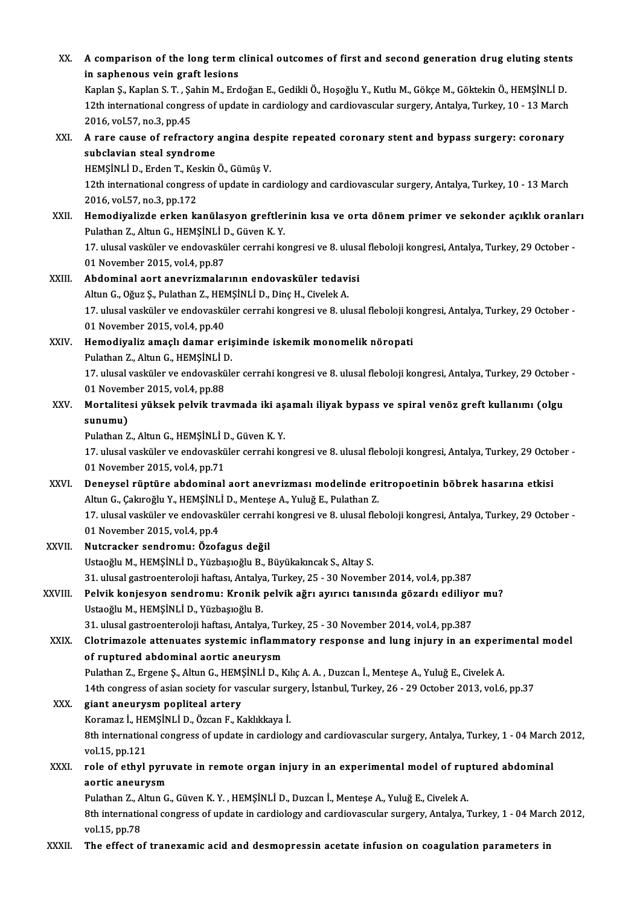| XX.     | A comparison of the long term clinical outcomes of first and second generation drug eluting stents<br>in saphenous vein graft lesions                                                         |
|---------|-----------------------------------------------------------------------------------------------------------------------------------------------------------------------------------------------|
|         | Kaplan Ş., Kaplan S. T. , Şahin M., Erdoğan E., Gedikli Ö., Hoşoğlu Y., Kutlu M., Gökçe M., Göktekin Ö., HEMŞİNLİ D.                                                                          |
|         | 12th international congress of update in cardiology and cardiovascular surgery, Antalya, Turkey, 10 - 13 March                                                                                |
|         | 2016, vol 57, no 3, pp 45                                                                                                                                                                     |
| XXI.    | A rare cause of refractory angina despite repeated coronary stent and bypass surgery: coronary                                                                                                |
|         | subclavian steal syndrome                                                                                                                                                                     |
|         | HEMŞİNLİ D, Erden T, Keskin Ö, Gümüş V.                                                                                                                                                       |
|         | 12th international congress of update in cardiology and cardiovascular surgery, Antalya, Turkey, 10 - 13 March                                                                                |
|         | 2016, vol 57, no 3, pp 172                                                                                                                                                                    |
| XXII.   | Hemodiyalizde erken kanülasyon greftlerinin kısa ve orta dönem primer ve sekonder açıklık oranları                                                                                            |
|         | Pulathan Z., Altun G., HEMŞİNLİ D., Güven K.Y.                                                                                                                                                |
|         | 17. ulusal vasküler ve endovasküler cerrahi kongresi ve 8. ulusal fleboloji kongresi, Antalya, Turkey, 29 October -                                                                           |
|         | 01 November 2015, vol 4, pp 87                                                                                                                                                                |
| XXIII.  | Abdominal aort anevrizmalarının endovasküler tedavisi                                                                                                                                         |
|         | Altun G., Oğuz Ş., Pulathan Z., HEMŞİNLİ D., Dinç H., Civelek A.                                                                                                                              |
|         | 17. ulusal vasküler ve endovasküler cerrahi kongresi ve 8. ulusal fleboloji kongresi, Antalya, Turkey, 29 October -                                                                           |
|         | 01 November 2015, vol.4, pp.40                                                                                                                                                                |
| XXIV.   | Hemodiyaliz amaçlı damar erişiminde iskemik monomelik nöropati                                                                                                                                |
|         | Pulathan Z., Altun G., HEMȘINLI D.                                                                                                                                                            |
|         | 17. ulusal vasküler ve endovasküler cerrahi kongresi ve 8. ulusal fleboloji kongresi, Antalya, Turkey, 29 October -<br>01 November 2015, vol.4, pp.88                                         |
| XXV.    | Mortalitesi yüksek pelvik travmada iki aşamalı iliyak bypass ve spiral venöz greft kullanımı (olgu                                                                                            |
|         | sunumu)                                                                                                                                                                                       |
|         | Pulathan Z., Altun G., HEMȘİNLİ D., Güven K.Y.                                                                                                                                                |
|         | 17. ulusal vasküler ve endovasküler cerrahi kongresi ve 8. ulusal fleboloji kongresi, Antalya, Turkey, 29 October -                                                                           |
|         | 01 November 2015, vol 4, pp.71                                                                                                                                                                |
| XXVI.   | Deneysel rüptüre abdominal aort anevrizması modelinde eritropoetinin böbrek hasarına etkisi                                                                                                   |
|         | Altun G., Çakıroğlu Y., HEMŞİNLİ D., Menteşe A., Yuluğ E., Pulathan Z.                                                                                                                        |
|         | 17. ulusal vasküler ve endovasküler cerrahi kongresi ve 8. ulusal fleboloji kongresi, Antalya, Turkey, 29 October -                                                                           |
|         | 01 November 2015, vol 4, pp 4                                                                                                                                                                 |
| XXVII.  | Nutcracker sendromu: Özofagus değil                                                                                                                                                           |
|         | Ustaoğlu M., HEMŞİNLİ D., Yüzbaşıoğlu B., Büyükakıncak S., Altay S.                                                                                                                           |
|         | 31. ulusal gastroenteroloji haftası, Antalya, Turkey, 25 - 30 November 2014, vol.4, pp.387                                                                                                    |
| XXVIII. | Pelvik konjesyon sendromu: Kronik pelvik ağrı ayırıcı tanısında gözardı ediliyor mu?                                                                                                          |
|         | Ustaoğlu M., HEMŞİNLİ D., Yüzbaşıoğlu B.                                                                                                                                                      |
|         | 31. ulusal gastroenteroloji haftası, Antalya, Turkey, 25 - 30 November 2014, vol.4, pp.387<br>Clotrimazole attenuates systemic inflammatory response and lung injury in an experimental model |
| XXIX.   | of ruptured abdominal aortic aneurysm                                                                                                                                                         |
|         | Pulathan Z., Ergene Ş., Altun G., HEMŞİNLİ D., Kılıç A. A., Duzcan İ., Menteşe A., Yuluğ E., Civelek A.                                                                                       |
|         | 14th congress of asian society for vascular surgery, İstanbul, Turkey, 26 - 29 October 2013, vol.6, pp.37                                                                                     |
| XXX.    | giant aneurysm popliteal artery                                                                                                                                                               |
|         | Koramaz İ., HEMŞİNLİ D., Özcan F., Kaklıkkaya İ.                                                                                                                                              |
|         | 8th international congress of update in cardiology and cardiovascular surgery, Antalya, Turkey, 1 - 04 March 2012,                                                                            |
|         | vol 15, pp 121                                                                                                                                                                                |
| XXXI.   | role of ethyl pyruvate in remote organ injury in an experimental model of ruptured abdominal                                                                                                  |
|         | aortic aneurysm                                                                                                                                                                               |
|         | Pulathan Z., Altun G., Güven K.Y., HEMŞİNLİ D., Duzcan İ., Menteşe A., Yuluğ E., Civelek A.                                                                                                   |
|         | 8th international congress of update in cardiology and cardiovascular surgery, Antalya, Turkey, 1 - 04 March 2012,                                                                            |
|         | vol 15, pp 78                                                                                                                                                                                 |
| XXXII.  | The effect of tranexamic acid and desmopressin acetate infusion on coagulation parameters in                                                                                                  |